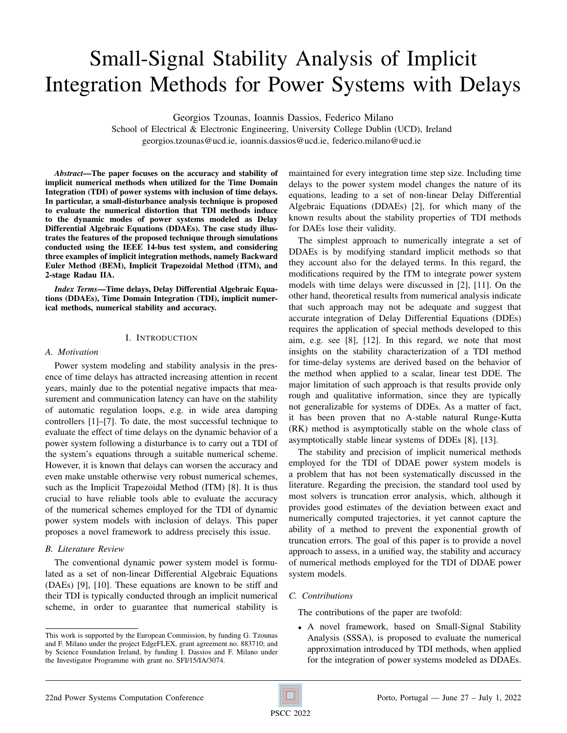# Small-Signal Stability Analysis of Implicit Integration Methods for Power Systems with Delays

Georgios Tzounas, Ioannis Dassios, Federico Milano

School of Electrical & Electronic Engineering, University College Dublin (UCD), Ireland georgios.tzounas@ucd.ie, ioannis.dassios@ucd.ie, federico.milano@ucd.ie

*Abstract*—The paper focuses on the accuracy and stability of implicit numerical methods when utilized for the Time Domain Integration (TDI) of power systems with inclusion of time delays. In particular, a small-disturbance analysis technique is proposed to evaluate the numerical distortion that TDI methods induce to the dynamic modes of power systems modeled as Delay Differential Algebraic Equations (DDAEs). The case study illustrates the features of the proposed technique through simulations conducted using the IEEE 14-bus test system, and considering three examples of implicit integration methods, namely Backward Euler Method (BEM), Implicit Trapezoidal Method (ITM), and 2-stage Radau IIA.

*Index Terms*—Time delays, Delay Differential Algebraic Equations (DDAEs), Time Domain Integration (TDI), implicit numerical methods, numerical stability and accuracy.

## I. INTRODUCTION

## *A. Motivation*

Power system modeling and stability analysis in the presence of time delays has attracted increasing attention in recent years, mainly due to the potential negative impacts that measurement and communication latency can have on the stability of automatic regulation loops, e.g. in wide area damping controllers [1]–[7]. To date, the most successful technique to evaluate the effect of time delays on the dynamic behavior of a power system following a disturbance is to carry out a TDI of the system's equations through a suitable numerical scheme. However, it is known that delays can worsen the accuracy and even make unstable otherwise very robust numerical schemes, such as the Implicit Trapezoidal Method (ITM) [8]. It is thus crucial to have reliable tools able to evaluate the accuracy of the numerical schemes employed for the TDI of dynamic power system models with inclusion of delays. This paper proposes a novel framework to address precisely this issue.

## *B. Literature Review*

The conventional dynamic power system model is formulated as a set of non-linear Differential Algebraic Equations (DAEs) [9], [10]. These equations are known to be stiff and their TDI is typically conducted through an implicit numerical scheme, in order to guarantee that numerical stability is

maintained for every integration time step size. Including time delays to the power system model changes the nature of its equations, leading to a set of non-linear Delay Differential Algebraic Equations (DDAEs) [2], for which many of the known results about the stability properties of TDI methods for DAEs lose their validity.

The simplest approach to numerically integrate a set of DDAEs is by modifying standard implicit methods so that they account also for the delayed terms. In this regard, the modifications required by the ITM to integrate power system models with time delays were discussed in [2], [11]. On the other hand, theoretical results from numerical analysis indicate that such approach may not be adequate and suggest that accurate integration of Delay Differential Equations (DDEs) requires the application of special methods developed to this aim, e.g. see [8], [12]. In this regard, we note that most insights on the stability characterization of a TDI method for time-delay systems are derived based on the behavior of the method when applied to a scalar, linear test DDE. The major limitation of such approach is that results provide only rough and qualitative information, since they are typically not generalizable for systems of DDEs. As a matter of fact, it has been proven that no A-stable natural Runge-Kutta (RK) method is asymptotically stable on the whole class of asymptotically stable linear systems of DDEs [8], [13].

The stability and precision of implicit numerical methods employed for the TDI of DDAE power system models is a problem that has not been systematically discussed in the literature. Regarding the precision, the standard tool used by most solvers is truncation error analysis, which, although it provides good estimates of the deviation between exact and numerically computed trajectories, it yet cannot capture the ability of a method to prevent the exponential growth of truncation errors. The goal of this paper is to provide a novel approach to assess, in a unified way, the stability and accuracy of numerical methods employed for the TDI of DDAE power system models.

## *C. Contributions*

The contributions of the paper are twofold:

• A novel framework, based on Small-Signal Stability Analysis (SSSA), is proposed to evaluate the numerical approximation introduced by TDI methods, when applied for the integration of power systems modeled as DDAEs.

This work is supported by the European Commission, by funding G. Tzounas and F. Milano under the project EdgeFLEX, grant agreement no. 883710; and by Science Foundation Ireland, by funding I. Dassios and F. Milano under the Investigator Programme with grant no. SFI/15/IA/3074.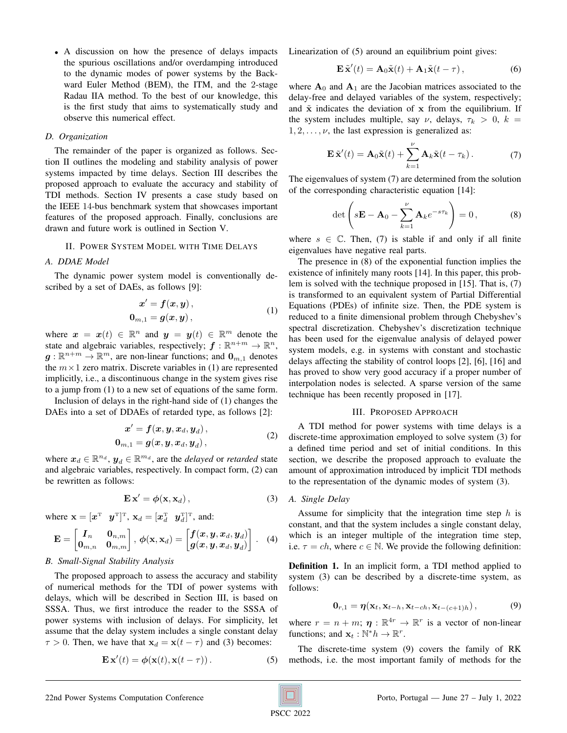• A discussion on how the presence of delays impacts the spurious oscillations and/or overdamping introduced to the dynamic modes of power systems by the Backward Euler Method (BEM), the ITM, and the 2-stage Radau IIA method. To the best of our knowledge, this is the first study that aims to systematically study and observe this numerical effect.

## *D. Organization*

The remainder of the paper is organized as follows. Section II outlines the modeling and stability analysis of power systems impacted by time delays. Section III describes the proposed approach to evaluate the accuracy and stability of TDI methods. Section IV presents a case study based on the IEEE 14-bus benchmark system that showcases important features of the proposed approach. Finally, conclusions are drawn and future work is outlined in Section V.

## II. POWER SYSTEM MODEL WITH TIME DELAYS

#### *A. DDAE Model*

The dynamic power system model is conventionally described by a set of DAEs, as follows [9]:

$$
x' = f(x, y),
$$
  
\n
$$
0_{m,1} = g(x, y),
$$
\n(1)

where  $x = x(t) \in \mathbb{R}^n$  and  $y = y(t) \in \mathbb{R}^m$  denote the state and algebraic variables, respectively;  $f : \mathbb{R}^{n+m} \to \mathbb{R}^n$ ,  $g: \mathbb{R}^{n+m} \to \mathbb{R}^m$ , are non-linear functions; and  $0_{m,1}$  denotes the  $m \times 1$  zero matrix. Discrete variables in (1) are represented implicitly, i.e., a discontinuous change in the system gives rise to a jump from (1) to a new set of equations of the same form.

Inclusion of delays in the right-hand side of (1) changes the DAEs into a set of DDAEs of retarded type, as follows [2]:

$$
x' = f(x, y, x_d, y_d),
$$
  
\n
$$
0_{m,1} = g(x, y, x_d, y_d),
$$
\n(2)

where  $\boldsymbol{x}_d \in \mathbb{R}^{n_d}$ ,  $\boldsymbol{y}_d \in \mathbb{R}^{m_d}$ , are the *delayed* or *retarded* state and algebraic variables, respectively. In compact form, (2) can be rewritten as follows:

$$
\mathbf{E}\,\mathbf{x}' = \phi(\mathbf{x}, \mathbf{x}_d)\,,\tag{3}
$$

where  $\mathbf{x} = [\boldsymbol{x}^T \ \ \boldsymbol{y}^T]^T$ ,  $\mathbf{x}_d = [\boldsymbol{x}_d^T \ \ \boldsymbol{y}_d^T]^T$ , and:

$$
\mathbf{E} = \begin{bmatrix} I_n & \mathbf{0}_{n,m} \\ \mathbf{0}_{m,n} & \mathbf{0}_{m,m} \end{bmatrix}, \phi(\mathbf{x}, \mathbf{x}_d) = \begin{bmatrix} f(x, y, x_d, y_d) \\ g(x, y, x_d, y_d) \end{bmatrix}. \quad (4)
$$

#### *B. Small-Signal Stability Analysis*

The proposed approach to assess the accuracy and stability of numerical methods for the TDI of power systems with delays, which will be described in Section III, is based on SSSA. Thus, we first introduce the reader to the SSSA of power systems with inclusion of delays. For simplicity, let assume that the delay system includes a single constant delay  $\tau > 0$ . Then, we have that  $x_d = x(t - \tau)$  and (3) becomes:

$$
\mathbf{E}\,\mathbf{x}'(t) = \phi(\mathbf{x}(t), \mathbf{x}(t-\tau))\,. \tag{5}
$$

Linearization of (5) around an equilibrium point gives:

$$
\mathbf{E}\,\tilde{\mathbf{x}}'(t) = \mathbf{A}_0\tilde{\mathbf{x}}(t) + \mathbf{A}_1\tilde{\mathbf{x}}(t-\tau)\,,\tag{6}
$$

where  $A_0$  and  $A_1$  are the Jacobian matrices associated to the delay-free and delayed variables of the system, respectively; and  $\tilde{x}$  indicates the deviation of  $x$  from the equilibrium. If the system includes multiple, say  $\nu$ , delays,  $\tau_k > 0$ ,  $k =$  $1, 2, \ldots, \nu$ , the last expression is generalized as:

$$
\mathbf{E}\,\tilde{\mathbf{x}}'(t) = \mathbf{A}_0\tilde{\mathbf{x}}(t) + \sum_{k=1}^{\nu} \mathbf{A}_k\tilde{\mathbf{x}}(t - \tau_k). \tag{7}
$$

The eigenvalues of system (7) are determined from the solution of the corresponding characteristic equation [14]:

$$
\det\left(s\mathbf{E} - \mathbf{A}_0 - \sum_{k=1}^{\nu} \mathbf{A}_k e^{-s\tau_k}\right) = 0, \tag{8}
$$

where  $s \in \mathbb{C}$ . Then, (7) is stable if and only if all finite eigenvalues have negative real parts.

The presence in (8) of the exponential function implies the existence of infinitely many roots [14]. In this paper, this problem is solved with the technique proposed in [15]. That is, (7) is transformed to an equivalent system of Partial Differential Equations (PDEs) of infinite size. Then, the PDE system is reduced to a finite dimensional problem through Chebyshev's spectral discretization. Chebyshev's discretization technique has been used for the eigenvalue analysis of delayed power system models, e.g. in systems with constant and stochastic delays affecting the stability of control loops [2], [6], [16] and has proved to show very good accuracy if a proper number of interpolation nodes is selected. A sparse version of the same technique has been recently proposed in [17].

#### III. PROPOSED APPROACH

A TDI method for power systems with time delays is a discrete-time approximation employed to solve system (3) for a defined time period and set of initial conditions. In this section, we describe the proposed approach to evaluate the amount of approximation introduced by implicit TDI methods to the representation of the dynamic modes of system (3).

## *A. Single Delay*

Assume for simplicity that the integration time step  $h$  is constant, and that the system includes a single constant delay, which is an integer multiple of the integration time step, i.e.  $\tau = ch$ , where  $c \in \mathbb{N}$ . We provide the following definition:

Definition 1. In an implicit form, a TDI method applied to system (3) can be described by a discrete-time system, as follows:

$$
\mathbf{0}_{r,1} = \boldsymbol{\eta}(\mathbf{x}_t, \mathbf{x}_{t-h}, \mathbf{x}_{t-ch}, \mathbf{x}_{t-(c+1)h}), \tag{9}
$$

where  $r = n + m$ ;  $\eta : \mathbb{R}^{4r} \to \mathbb{R}^r$  is a vector of non-linear functions; and  $\mathbf{x}_t : \mathbb{N}^* h \to \mathbb{R}^r$ .

The discrete-time system (9) covers the family of RK methods, i.e. the most important family of methods for the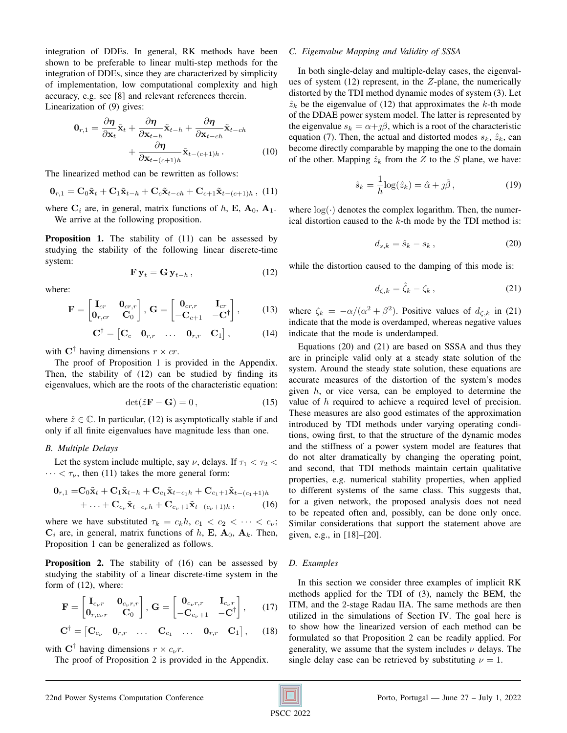integration of DDEs. In general, RK methods have been shown to be preferable to linear multi-step methods for the integration of DDEs, since they are characterized by simplicity of implementation, low computational complexity and high accuracy, e.g. see [8] and relevant references therein. Linearization of (9) gives:

$$
\mathbf{0}_{r,1} = \frac{\partial \boldsymbol{\eta}}{\partial \mathbf{x}_t} \tilde{\mathbf{x}}_t + \frac{\partial \boldsymbol{\eta}}{\partial \mathbf{x}_{t-h}} \tilde{\mathbf{x}}_{t-h} + \frac{\partial \boldsymbol{\eta}}{\partial \mathbf{x}_{t-ch}} \tilde{\mathbf{x}}_{t-ch} + \frac{\partial \boldsymbol{\eta}}{\partial \mathbf{x}_{t-(c+1)h}} \tilde{\mathbf{x}}_{t-(c+1)h}.
$$
\n(10)

The linearized method can be rewritten as follows:

$$
\mathbf{0}_{r,1} = \mathbf{C}_0 \tilde{\mathbf{x}}_t + \mathbf{C}_1 \tilde{\mathbf{x}}_{t-h} + \mathbf{C}_c \tilde{\mathbf{x}}_{t-ch} + \mathbf{C}_{c+1} \tilde{\mathbf{x}}_{t-(c+1)h} , \quad (11)
$$

where  $C_i$  are, in general, matrix functions of h, E,  $A_0$ ,  $A_1$ . We arrive at the following proposition.

Proposition 1. The stability of (11) can be assessed by studying the stability of the following linear discrete-time system:

$$
\mathbf{F}\,\mathbf{y}_t = \mathbf{G}\,\mathbf{y}_{t-h} \,,\tag{12}
$$

where:

$$
\mathbf{F} = \begin{bmatrix} \mathbf{I}_{cr} & \mathbf{0}_{cr,r} \\ \mathbf{0}_{r,cr} & \mathbf{C}_0 \end{bmatrix}, \, \mathbf{G} = \begin{bmatrix} \mathbf{0}_{cr,r} & \mathbf{I}_{cr} \\ -\mathbf{C}_{c+1} & -\mathbf{C}^{\dagger} \end{bmatrix},\qquad(13)
$$

$$
\mathbf{C}^{\dagger} = \begin{bmatrix} \mathbf{C}_c & \mathbf{0}_{r,r} & \dots & \mathbf{0}_{r,r} & \mathbf{C}_1 \end{bmatrix},\tag{14}
$$

with  $\mathbf{C}^{\dagger}$  having dimensions  $r \times cr$ .

The proof of Proposition 1 is provided in the Appendix. Then, the stability of (12) can be studied by finding its eigenvalues, which are the roots of the characteristic equation:

$$
\det(\hat{z}\mathbf{F} - \mathbf{G}) = 0, \qquad (15)
$$

where  $\hat{z} \in \mathbb{C}$ . In particular, (12) is asymptotically stable if and only if all finite eigenvalues have magnitude less than one.

#### *B. Multiple Delays*

Let the system include multiple, say  $\nu$ , delays. If  $\tau_1 < \tau_2 <$  $\cdots < \tau_{\nu}$ , then (11) takes the more general form:

$$
0_{r,1} = C_0 \tilde{\mathbf{x}}_t + C_1 \tilde{\mathbf{x}}_{t-h} + C_{c_1} \tilde{\mathbf{x}}_{t-c_1h} + C_{c_1+1} \tilde{\mathbf{x}}_{t-(c_1+1)h} + \ldots + C_{c_\nu} \tilde{\mathbf{x}}_{t-c_\nu h} + C_{c_\nu+1} \tilde{\mathbf{x}}_{t-(c_\nu+1)h},
$$
 (16)

where we have substituted  $\tau_k = c_k h$ ,  $c_1 < c_2 < \cdots < c_{\nu}$ ;  $C_i$  are, in general, matrix functions of h, E,  $A_0$ ,  $A_k$ . Then, Proposition 1 can be generalized as follows.

Proposition 2. The stability of (16) can be assessed by studying the stability of a linear discrete-time system in the form of (12), where:

$$
\mathbf{F} = \begin{bmatrix} \mathbf{I}_{c_{\nu}r} & \mathbf{0}_{c_{\nu}r,r} \\ \mathbf{0}_{r,c_{\nu}r} & \mathbf{C}_0 \end{bmatrix}, \, \mathbf{G} = \begin{bmatrix} \mathbf{0}_{c_{\nu}r,r} & \mathbf{I}_{c_{\nu}r} \\ -\mathbf{C}_{c_{\nu}+1} & -\mathbf{C}^{\dagger} \end{bmatrix},\qquad(17)
$$

$$
\mathbf{C}^{\dagger} = \begin{bmatrix} \mathbf{C}_{c_{\nu}} & \mathbf{0}_{r,r} & \dots & \mathbf{C}_{c_1} & \dots & \mathbf{0}_{r,r} & \mathbf{C}_1 \end{bmatrix}, \qquad (18)
$$

with  $\mathbf{C}^{\dagger}$  having dimensions  $r \times c_{\nu}r$ .

The proof of Proposition 2 is provided in the Appendix.

## *C. Eigenvalue Mapping and Validity of SSSA*

In both single-delay and multiple-delay cases, the eigenvalues of system  $(12)$  represent, in the  $Z$ -plane, the numerically distorted by the TDI method dynamic modes of system (3). Let  $\hat{z}_k$  be the eigenvalue of (12) that approximates the k-th mode of the DDAE power system model. The latter is represented by the eigenvalue  $s_k = \alpha + \iota \beta$ , which is a root of the characteristic equation (7). Then, the actual and distorted modes  $s_k$ ,  $\hat{z}_k$ , can become directly comparable by mapping the one to the domain of the other. Mapping  $\hat{z}_k$  from the Z to the S plane, we have:

$$
\hat{s}_k = \frac{1}{h} \log(\hat{z}_k) = \hat{\alpha} + j\hat{\beta}, \qquad (19)
$$

where  $log(·)$  denotes the complex logarithm. Then, the numerical distortion caused to the  $k$ -th mode by the TDI method is:

$$
d_{s,k} = \hat{s}_k - s_k, \qquad (20)
$$

while the distortion caused to the damping of this mode is:

$$
d_{\zeta,k} = \hat{\zeta}_k - \zeta_k, \qquad (21)
$$

where  $\zeta_k = -\alpha/(\alpha^2 + \beta^2)$ . Positive values of  $d_{\zeta,k}$  in (21) indicate that the mode is overdamped, whereas negative values indicate that the mode is underdamped.

Equations (20) and (21) are based on SSSA and thus they are in principle valid only at a steady state solution of the system. Around the steady state solution, these equations are accurate measures of the distortion of the system's modes given  $h$ , or vice versa, can be employed to determine the value of h required to achieve a required level of precision. These measures are also good estimates of the approximation introduced by TDI methods under varying operating conditions, owing first, to that the structure of the dynamic modes and the stiffness of a power system model are features that do not alter dramatically by changing the operating point, and second, that TDI methods maintain certain qualitative properties, e.g. numerical stability properties, when applied to different systems of the same class. This suggests that, for a given network, the proposed analysis does not need to be repeated often and, possibly, can be done only once. Similar considerations that support the statement above are given, e.g., in [18]–[20].

#### *D. Examples*

In this section we consider three examples of implicit RK methods applied for the TDI of (3), namely the BEM, the ITM, and the 2-stage Radau IIA. The same methods are then utilized in the simulations of Section IV. The goal here is to show how the linearized version of each method can be formulated so that Proposition 2 can be readily applied. For generality, we assume that the system includes  $\nu$  delays. The single delay case can be retrieved by substituting  $\nu = 1$ .

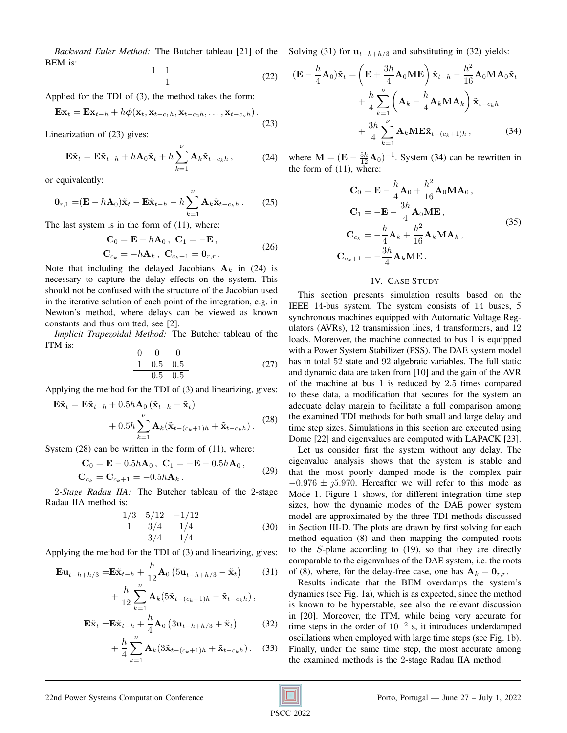*Backward Euler Method:* The Butcher tableau [21] of the Solving (31) for  $u_{t-h+h/3}$  and substituting in (32) yields: BEM is:

$$
\begin{array}{c|c}\n1 & 1 \\
\hline\n1 & \\
\end{array}
$$
\n(22)

Applied for the TDI of (3), the method takes the form:

$$
\mathbf{Ex}_t = \mathbf{Ex}_{t-h} + h\boldsymbol{\phi}(\mathbf{x}_t, \mathbf{x}_{t-c_1h}, \mathbf{x}_{t-c_2h}, \dots, \mathbf{x}_{t-c_\nu h}).
$$
\n(23)

Linearization of (23) gives:

$$
\mathbf{E}\tilde{\mathbf{x}}_t = \mathbf{E}\tilde{\mathbf{x}}_{t-h} + h\mathbf{A}_0\tilde{\mathbf{x}}_t + h\sum_{k=1}^{\nu} \mathbf{A}_k\tilde{\mathbf{x}}_{t-c_kh},
$$
 (24)

or equivalently:

$$
\mathbf{0}_{r,1} = (\mathbf{E} - h\mathbf{A}_0)\tilde{\mathbf{x}}_t - \mathbf{E}\tilde{\mathbf{x}}_{t-h} - h\sum_{k=1}^{\nu} \mathbf{A}_k \tilde{\mathbf{x}}_{t-c_kh}.
$$
 (25)

The last system is in the form of (11), where:

$$
\mathbf{C}_0 = \mathbf{E} - h\mathbf{A}_0, \quad \mathbf{C}_1 = -\mathbf{E},
$$
  
\n
$$
\mathbf{C}_{c_k} = -h\mathbf{A}_k, \quad \mathbf{C}_{c_k+1} = \mathbf{0}_{r,r}.
$$
 (26)

Note that including the delayed Jacobians  $A_k$  in (24) is necessary to capture the delay effects on the system. This should not be confused with the structure of the Jacobian used in the iterative solution of each point of the integration, e.g. in Newton's method, where delays can be viewed as known constants and thus omitted, see [2].

*Implicit Trapezoidal Method:* The Butcher tableau of the ITM is:  $\sim$  0  $\sim$ 

$$
\begin{array}{c|cc}\n0 & 0 & 0 \\
1 & 0.5 & 0.5 \\
\hline\n0.5 & 0.5\n\end{array}
$$
\n(27)

Applying the method for the TDI of (3) and linearizing, gives:

$$
\mathbf{E}\tilde{\mathbf{x}}_t = \mathbf{E}\tilde{\mathbf{x}}_{t-h} + 0.5h\mathbf{A}_0(\tilde{\mathbf{x}}_{t-h} + \tilde{\mathbf{x}}_t) + 0.5h\sum_{k=1}^{\nu} \mathbf{A}_k(\tilde{\mathbf{x}}_{t-(c_k+1)h} + \tilde{\mathbf{x}}_{t-c_kh}).
$$
 (28)

System (28) can be written in the form of (11), where:

$$
\mathbf{C}_0 = \mathbf{E} - 0.5h\mathbf{A}_0, \ \mathbf{C}_1 = -\mathbf{E} - 0.5h\mathbf{A}_0, \n\mathbf{C}_{c_k} = \mathbf{C}_{c_k+1} = -0.5h\mathbf{A}_k.
$$
\n(29)

2*-Stage Radau IIA:* The Butcher tableau of the 2-stage Radau IIA method is:

$$
\begin{array}{c|cc}\n1/3 & 5/12 & -1/12 \\
\hline\n1 & 3/4 & 1/4 \\
\hline\n & 3/4 & 1/4\n\end{array} (30)
$$

Applying the method for the TDI of (3) and linearizing, gives:

$$
\mathbf{E}\mathbf{u}_{t-h+h/3} = \mathbf{E}\tilde{\mathbf{x}}_{t-h} + \frac{h}{12}\mathbf{A}_0 \left(5\mathbf{u}_{t-h+h/3} - \tilde{\mathbf{x}}_t\right) \tag{31}
$$
\n
$$
+ \frac{h}{12} \sum_{k=1}^{\nu} \mathbf{A}_k \left(5\tilde{\mathbf{x}}_{t-(c_k+1)h} - \tilde{\mathbf{x}}_{t-c_kh}\right),
$$

$$
\mathbf{E}\tilde{\mathbf{x}}_t = \mathbf{E}\tilde{\mathbf{x}}_{t-h} + \frac{h}{4}\mathbf{A}_0 \left(3\mathbf{u}_{t-h+h/3} + \tilde{\mathbf{x}}_t\right) \tag{32}
$$

$$
+\frac{h}{4}\sum_{k=1}^{\nu}\mathbf{A}_k(3\tilde{\mathbf{x}}_{t-(c_k+1)h}+\tilde{\mathbf{x}}_{t-c_kh}).
$$
 (33)

$$
(\mathbf{E} - \frac{h}{4}\mathbf{A}_0)\tilde{\mathbf{x}}_t = \left(\mathbf{E} + \frac{3h}{4}\mathbf{A}_0\mathbf{M}\mathbf{E}\right)\tilde{\mathbf{x}}_{t-h} - \frac{h^2}{16}\mathbf{A}_0\mathbf{M}\mathbf{A}_0\tilde{\mathbf{x}}_t + \frac{h}{4}\sum_{k=1}^{\nu}\left(\mathbf{A}_k - \frac{h}{4}\mathbf{A}_k\mathbf{M}\mathbf{A}_k\right)\tilde{\mathbf{x}}_{t-c_kh} + \frac{3h}{4}\sum_{k=1}^{\nu}\mathbf{A}_k\mathbf{M}\mathbf{E}\tilde{\mathbf{x}}_{t-(c_k+1)h},
$$
(34)

where  $\mathbf{M} = (\mathbf{E} - \frac{5h}{12} \mathbf{A}_0)^{-1}$ . System (34) can be rewritten in the form of (11), where:

$$
\mathbf{C}_0 = \mathbf{E} - \frac{h}{4}\mathbf{A}_0 + \frac{h^2}{16}\mathbf{A}_0 \mathbf{M} \mathbf{A}_0,
$$
  
\n
$$
\mathbf{C}_1 = -\mathbf{E} - \frac{3h}{4}\mathbf{A}_0 \mathbf{M} \mathbf{E},
$$
  
\n
$$
\mathbf{C}_{c_k} = -\frac{h}{4}\mathbf{A}_k + \frac{h^2}{16}\mathbf{A}_k \mathbf{M} \mathbf{A}_k,
$$
  
\n
$$
\mathbf{C}_{c_k+1} = -\frac{3h}{4}\mathbf{A}_k \mathbf{M} \mathbf{E}.
$$
 (35)

#### IV. CASE STUDY

This section presents simulation results based on the IEEE 14-bus system. The system consists of 14 buses, 5 synchronous machines equipped with Automatic Voltage Regulators (AVRs), 12 transmission lines, 4 transformers, and 12 loads. Moreover, the machine connected to bus 1 is equipped with a Power System Stabilizer (PSS). The DAE system model has in total 52 state and 92 algebraic variables. The full static and dynamic data are taken from [10] and the gain of the AVR of the machine at bus 1 is reduced by 2.5 times compared to these data, a modification that secures for the system an adequate delay margin to facilitate a full comparison among the examined TDI methods for both small and large delay and time step sizes. Simulations in this section are executed using Dome [22] and eigenvalues are computed with LAPACK [23].

Let us consider first the system without any delay. The eigenvalue analysis shows that the system is stable and that the most poorly damped mode is the complex pair  $-0.976 \pm \textit{15}.970$ . Hereafter we will refer to this mode as Mode 1. Figure 1 shows, for different integration time step sizes, how the dynamic modes of the DAE power system model are approximated by the three TDI methods discussed in Section III-D. The plots are drawn by first solving for each method equation (8) and then mapping the computed roots to the S-plane according to (19), so that they are directly comparable to the eigenvalues of the DAE system, i.e. the roots of (8), where, for the delay-free case, one has  $A_k = 0_{r,r}$ .

Results indicate that the BEM overdamps the system's dynamics (see Fig. 1a), which is as expected, since the method is known to be hyperstable, see also the relevant discussion in [20]. Moreover, the ITM, while being very accurate for time steps in the order of  $10^{-2}$  s, it introduces underdamped oscillations when employed with large time steps (see Fig. 1b). Finally, under the same time step, the most accurate among the examined methods is the 2-stage Radau IIA method.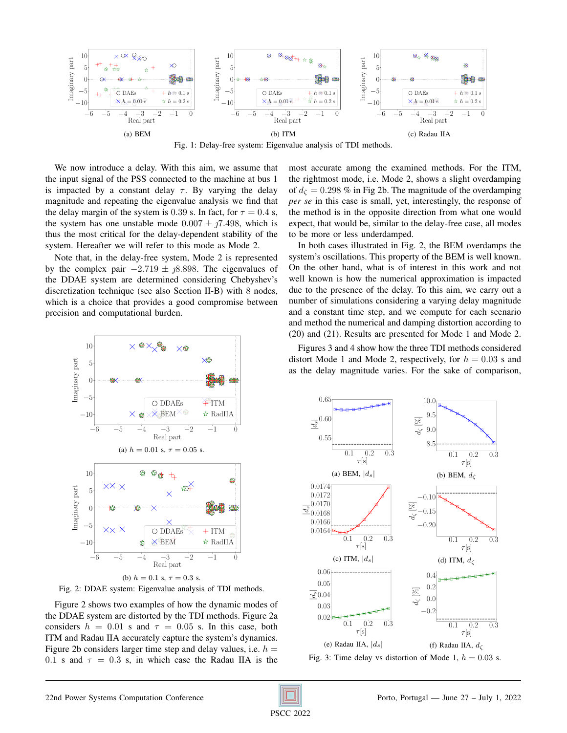

Fig. 1: Delay-free system: Eigenvalue analysis of TDI methods.

We now introduce a delay. With this aim, we assume that the input signal of the PSS connected to the machine at bus 1 is impacted by a constant delay  $\tau$ . By varying the delay magnitude and repeating the eigenvalue analysis we find that the delay margin of the system is 0.39 s. In fact, for  $\tau = 0.4$  s, the system has one unstable mode  $0.007 \pm 0.7498$ , which is thus the most critical for the delay-dependent stability of the system. Hereafter we will refer to this mode as Mode 2.

Note that, in the delay-free system, Mode 2 is represented by the complex pair  $-2.719 \pm \iota/8.898$ . The eigenvalues of the DDAE system are determined considering Chebyshev's discretization technique (see also Section II-B) with 8 nodes, which is a choice that provides a good compromise between precision and computational burden.

most accurate among the examined methods. For the ITM, the rightmost mode, i.e. Mode 2, shows a slight overdamping of  $d_{\zeta} = 0.298$  % in Fig 2b. The magnitude of the overdamping *per se* in this case is small, yet, interestingly, the response of the method is in the opposite direction from what one would expect, that would be, similar to the delay-free case, all modes to be more or less underdamped.

In both cases illustrated in Fig. 2, the BEM overdamps the system's oscillations. This property of the BEM is well known. On the other hand, what is of interest in this work and not well known is how the numerical approximation is impacted due to the presence of the delay. To this aim, we carry out a number of simulations considering a varying delay magnitude and a constant time step, and we compute for each scenario and method the numerical and damping distortion according to (20) and (21). Results are presented for Mode 1 and Mode 2.

10  $\bigoplus$  $\times$  $\times$ Imaginary part 5  $\sqrt{2}$ −5 O DDAEs  $+1$ TM  $\times$ BEM $\times$  $\mathbf{\hat{x}}$ RadIIA −10  $\times$  $\bigoplus$ −6 −5 −4 −3 −2 −1 0 Real part (a)  $h = 0.01$  s,  $\tau = 0.05$  s.  $\circledcirc_{\circledast}$ ക 10  $\ddot{\mathrm{t}}$  $\times$ ধ্যি Imaginary part 5  $0$   $\leftarrow$  $\times$ −5  $\times\times\times$  $\bigcirc$  DDAEs  $+$ ITM  $\times$ BEM  $\star$  RadIIA  $-10$ € −6 −5 −4 −3 −2 −1 0 Real part (b)  $h = 0.1$  s,  $\tau = 0.3$  s.

Fig. 2: DDAE system: Eigenvalue analysis of TDI methods.

Figure 2 shows two examples of how the dynamic modes of the DDAE system are distorted by the TDI methods. Figure 2a considers  $h = 0.01$  s and  $\tau = 0.05$  s. In this case, both ITM and Radau IIA accurately capture the system's dynamics. Figure 2b considers larger time step and delay values, i.e.  $h =$ 0.1 s and  $\tau = 0.3$  s, in which case the Radau IIA is the

Figures 3 and 4 show how the three TDI methods considered distort Mode 1 and Mode 2, respectively, for  $h = 0.03$  s and as the delay magnitude varies. For the sake of comparison,



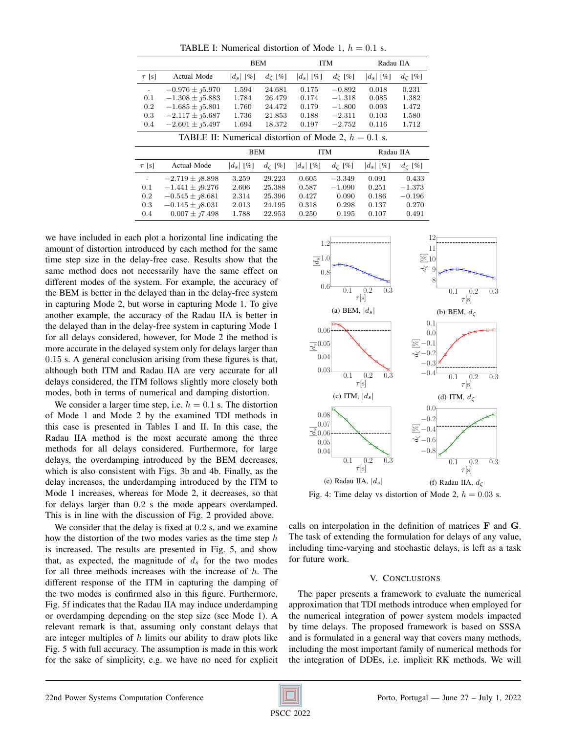TABLE I: Numerical distortion of Mode 1,  $h = 0.1$  s.

|                                                        |                              | <b>BEM</b>  |                       | <b>ITM</b>  |                       | Radau IIA   |                       |
|--------------------------------------------------------|------------------------------|-------------|-----------------------|-------------|-----------------------|-------------|-----------------------|
| $\tau$ [s]                                             | <b>Actual Mode</b>           | $ d_s $ [%] | $d_{\mathcal{C}}$ [%] | $ d_s $ [%] | $d_{\mathcal{C}}$ [%] | $ d_s $ [%] | $d_{\mathcal{C}}$ [%] |
| $\overline{\phantom{a}}$                               | $-0.976 \pm 1.070$           | 1.594       | 24.681                | 0.175       | $-0.892$              | 0.018       | 0.231                 |
| 0.1                                                    | $-1.308 \pm 1.583$           | 1.784       | 26.479                | 0.174       | $-1.318$              | 0.085       | 1.382                 |
| 0.2                                                    | $-1.685 \pm 1.5801$          | 1.760       | 24.472                | 0.179       | $-1.800$              | 0.093       | 1.472                 |
| 0.3                                                    | $-2.117 \pm 1.687$           | 1.736       | 21.853                | 0.188       | $-2.311$              | 0.103       | 1.580                 |
| 0.4                                                    | $-2.601 \pm 1.497$           | 1.694       | 18.372                | 0.197       | $-2.752$              | 0.116       | 1.712                 |
| TABLE II: Numerical distortion of Mode 2, $h = 0.1$ s. |                              |             |                       |             |                       |             |                       |
|                                                        |                              | BEM         |                       | <b>ITM</b>  |                       | Radau IIA   |                       |
| $\tau$ [s]                                             | Actual Mode                  | $ d_s $ [%] | $d_{\mathcal{C}}$ [%] | $ d_s $ [%] | $d_{\zeta}$ [%]       | $ d_s $ [%] | $d_{\mathcal{C}}$ [%] |
|                                                        | $-2.719 \pm \textit{18.898}$ | 3.259       | 29.223                | 0.605       | $-3.349$              | 0.091       | 0.433                 |
| 0.1                                                    | $-1.441 \pm \eta$ 9.276      | 2.606       | 25.388                | 0.587       | $-1.090$              | 0.251       | $-1.373$              |
| 0.2                                                    | $-0.545 \pm 18.681$          | 2.314       | 25.396                | 0.427       | 0.090                 | 0.186       | $-0.196$              |
| 0.3                                                    | $-0.145 \pm \textit{18}.031$ | 2.013       | 24.195                | 0.318       | 0.298                 | 0.137       | 0.270                 |
|                                                        |                              |             |                       |             |                       |             |                       |

we have included in each plot a horizontal line indicating the amount of distortion introduced by each method for the same time step size in the delay-free case. Results show that the same method does not necessarily have the same effect on different modes of the system. For example, the accuracy of the BEM is better in the delayed than in the delay-free system in capturing Mode 2, but worse in capturing Mode 1. To give another example, the accuracy of the Radau IIA is better in the delayed than in the delay-free system in capturing Mode 1 for all delays considered, however, for Mode 2 the method is more accurate in the delayed system only for delays larger than 0.15 s. A general conclusion arising from these figures is that, although both ITM and Radau IIA are very accurate for all delays considered, the ITM follows slightly more closely both modes, both in terms of numerical and damping distortion.

We consider a larger time step, i.e.  $h = 0.1$  s. The distortion of Mode 1 and Mode 2 by the examined TDI methods in this case is presented in Tables I and II. In this case, the Radau IIA method is the most accurate among the three methods for all delays considered. Furthermore, for large delays, the overdamping introduced by the BEM decreases, which is also consistent with Figs. 3b and 4b. Finally, as the delay increases, the underdamping introduced by the ITM to Mode 1 increases, whereas for Mode 2, it decreases, so that for delays larger than 0.2 s the mode appears overdamped. This is in line with the discussion of Fig. 2 provided above.

We consider that the delay is fixed at  $0.2$  s, and we examine how the distortion of the two modes varies as the time step  $h$ is increased. The results are presented in Fig. 5, and show that, as expected, the magnitude of  $d_s$  for the two modes for all three methods increases with the increase of  $h$ . The different response of the ITM in capturing the damping of the two modes is confirmed also in this figure. Furthermore, Fig. 5f indicates that the Radau IIA may induce underdamping or overdamping depending on the step size (see Mode 1). A relevant remark is that, assuming only constant delays that are integer multiples of  $h$  limits our ability to draw plots like Fig. 5 with full accuracy. The assumption is made in this work the BEM is better in the delay doesn in the delay cries yssementic and the sake of simplicity in the sake of simplicity of simplicity ( $\frac{1}{16}$ ) and in the delay considered, however, for Mode 2 the method is better in (



Fig. 4: Time delay vs distortion of Mode 2,  $h = 0.03$  s.

calls on interpolation in the definition of matrices F and G. The task of extending the formulation for delays of any value, including time-varying and stochastic delays, is left as a task for future work.

#### V. CONCLUSIONS

The paper presents a framework to evaluate the numerical approximation that TDI methods introduce when employed for the numerical integration of power system models impacted by time delays. The proposed framework is based on SSSA and is formulated in a general way that covers many methods, including the most important family of numerical methods for the integration of DDEs, i.e. implicit RK methods. We will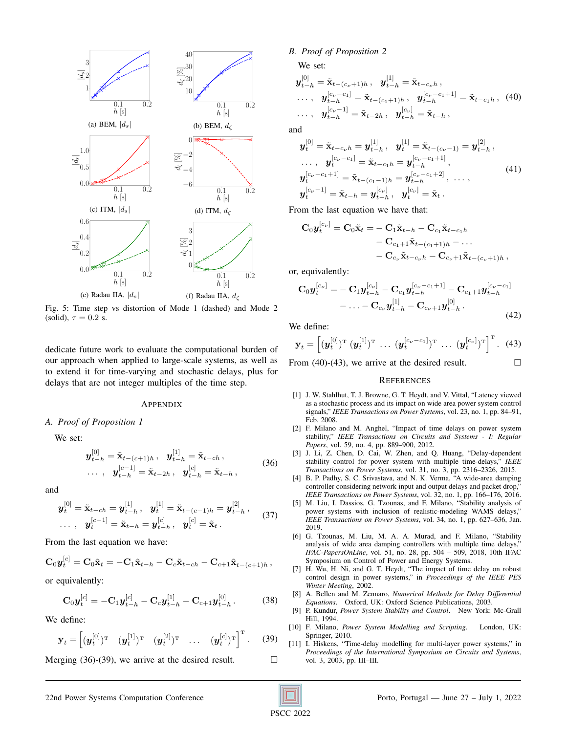

Fig. 5: Time step vs distortion of Mode 1 (dashed) and Mode 2 (solid),  $\tau = 0.2$  s.

dedicate future work to evaluate the computational burden of our approach when applied to large-scale systems, as well as to extend it for time-varying and stochastic delays, plus for delays that are not integer multiples of the time step.

#### APPENDIX

#### *A. Proof of Proposition 1*

We set:

$$
\mathbf{y}_{t-h}^{[0]} = \tilde{\mathbf{x}}_{t-(c+1)h}, \quad \mathbf{y}_{t-h}^{[1]} = \tilde{\mathbf{x}}_{t-ch},
$$
  
..., 
$$
\mathbf{y}_{t-h}^{[c-1]} = \tilde{\mathbf{x}}_{t-2h}, \quad \mathbf{y}_{t-h}^{[c]} = \tilde{\mathbf{x}}_{t-h},
$$
 (36)

and

$$
\mathbf{y}_{t}^{[0]} = \tilde{\mathbf{x}}_{t-ch} = \mathbf{y}_{t-h}^{[1]}, \quad \mathbf{y}_{t}^{[1]} = \tilde{\mathbf{x}}_{t-(c-1)h} = \mathbf{y}_{t-h}^{[2]},
$$
  
 
$$
\dots, \quad \mathbf{y}_{t}^{[c-1]} = \tilde{\mathbf{x}}_{t-h} = \mathbf{y}_{t-h}^{[c]}, \quad \mathbf{y}_{t}^{[c]} = \tilde{\mathbf{x}}_{t}.
$$
 (37)

From the last equation we have:

$$
\mathbf{C}_0 \mathbf{y}_t^{[c]} = \mathbf{C}_0 \tilde{\mathbf{x}}_t = -\mathbf{C}_1 \tilde{\mathbf{x}}_{t-h} - \mathbf{C}_c \tilde{\mathbf{x}}_{t-ch} - \mathbf{C}_{c+1} \tilde{\mathbf{x}}_{t-(c+1)h},
$$

or equivalently:

$$
\mathbf{C}_0 \mathbf{y}_t^{[c]} = -\mathbf{C}_1 \mathbf{y}_{t-h}^{[c]} - \mathbf{C}_c \mathbf{y}_{t-h}^{[1]} - \mathbf{C}_{c+1} \mathbf{y}_{t-h}^{[0]}.
$$
 (38)

We define:

$$
\mathbf{y}_t = \begin{bmatrix} (\boldsymbol{y}_t^{[0]})^{\mathrm{T}} & (\boldsymbol{y}_t^{[1]})^{\mathrm{T}} & (\boldsymbol{y}_t^{[2]})^{\mathrm{T}} & \dots & (\boldsymbol{y}_t^{[c]})^{\mathrm{T}} \end{bmatrix}^{\mathrm{T}}.
$$
 (39)

Merging (36)-(39), we arrive at the desired result.  $□$ 

# *B. Proof of Proposition 2*

We set:

$$
\mathbf{y}_{t-h}^{[0]} = \tilde{\mathbf{x}}_{t-(c_{\nu}+1)h}, \quad \mathbf{y}_{t-h}^{[1]} = \tilde{\mathbf{x}}_{t-c_{\nu}h}, \n\ldots, \quad \mathbf{y}_{t-h}^{[c_{\nu}-c_{1}]} = \tilde{\mathbf{x}}_{t-(c_{1}+1)h}, \quad \mathbf{y}_{t-h}^{[c_{\nu}-c_{1}+1]} = \tilde{\mathbf{x}}_{t-c_{1}h}, \quad (40) \n\ldots, \quad \mathbf{y}_{t-h}^{[c_{\nu}-1]} = \tilde{\mathbf{x}}_{t-2h}, \quad \mathbf{y}_{t-h}^{[c_{\nu}]} = \tilde{\mathbf{x}}_{t-h},
$$

and

$$
\mathbf{y}_{t}^{[0]} = \tilde{\mathbf{x}}_{t-c_{\nu}h} = \mathbf{y}_{t-h}^{[1]}, \quad \mathbf{y}_{t}^{[1]} = \tilde{\mathbf{x}}_{t-(c_{\nu}-1)} = \mathbf{y}_{t-h}^{[2]},
$$
\n
$$
\dots, \quad \mathbf{y}_{t}^{[c_{\nu}-c_{1}]} = \tilde{\mathbf{x}}_{t-c_{1}h} = \mathbf{y}_{t-h}^{[c_{\nu}-c_{1}+1]},
$$
\n
$$
\mathbf{y}_{t}^{[c_{\nu}-c_{1}+1]} = \tilde{\mathbf{x}}_{t-(c_{1}-1)h} = \mathbf{y}_{t-h}^{[c_{\nu}-c_{1}+2]}, \quad \dots,
$$
\n
$$
\mathbf{y}_{t}^{[c_{\nu}-1]} = \tilde{\mathbf{x}}_{t-h} = \mathbf{y}_{t-h}^{[c_{\nu}]}, \quad \mathbf{y}_{t}^{[c_{\nu}]} = \tilde{\mathbf{x}}_{t}.
$$
\n(41)

From the last equation we have that:

$$
C_0 y_t^{[c_{\nu}]} = C_0 \tilde{\mathbf{x}}_t = -C_1 \tilde{\mathbf{x}}_{t-h} - C_{c_1} \tilde{\mathbf{x}}_{t-c_1 h}
$$
  
- C<sub>c\_1+1</sub>  $\tilde{\mathbf{x}}_{t-(c_1+1)h} - \dots$   
- C<sub>c\_{\nu}</sub>  $\tilde{\mathbf{x}}_{t-c_{\nu}h} - C_{c_{\nu}+1} \tilde{\mathbf{x}}_{t-(c_{\nu}+1)h}$ ,

or, equivalently:

$$
\mathbf{C}_{0}\mathbf{y}_{t}^{[c_{\nu}]} = -\mathbf{C}_{1}\mathbf{y}_{t-h}^{[c_{\nu}]} - \mathbf{C}_{c_{1}}\mathbf{y}_{t-h}^{[c_{\nu}-c_{1}+1]} - \mathbf{C}_{c_{1}+1}\mathbf{y}_{t-h}^{[c_{\nu}-c_{1}]} - \dots - \mathbf{C}_{c_{\nu}}\mathbf{y}_{t-h}^{[1]} - \mathbf{C}_{c_{\nu}+1}\mathbf{y}_{t-h}^{[0]}.
$$
\n(42)

We define:

$$
\mathbf{y}_t = \left[ (\boldsymbol{y}_t^{[0]})^{\mathrm{T}} \ (\boldsymbol{y}_t^{[1]})^{\mathrm{T}} \ \dots \ (\boldsymbol{y}_t^{[c_{\nu}-c_1]})^{\mathrm{T}} \ \dots \ (\boldsymbol{y}_t^{[c_{\nu}]})^{\mathrm{T}} \right]^{\mathrm{T}}. \tag{43}
$$

From (40)-(43), we arrive at the desired result.  $\Box$ 

#### **REFERENCES**

- [1] J. W. Stahlhut, T. J. Browne, G. T. Heydt, and V. Vittal, "Latency viewed as a stochastic process and its impact on wide area power system control signals," *IEEE Transactions on Power Systems*, vol. 23, no. 1, pp. 84–91, Feb. 2008.
- [2] F. Milano and M. Anghel, "Impact of time delays on power system stability," *IEEE Transactions on Circuits and Systems - I: Regular Papers*, vol. 59, no. 4, pp. 889–900, 2012.
- [3] J. Li, Z. Chen, D. Cai, W. Zhen, and Q. Huang, "Delay-dependent stability control for power system with multiple time-delays," *IEEE Transactions on Power Systems*, vol. 31, no. 3, pp. 2316–2326, 2015.
- [4] B. P. Padhy, S. C. Srivastava, and N. K. Verma, "A wide-area damping controller considering network input and output delays and packet drop," *IEEE Transactions on Power Systems*, vol. 32, no. 1, pp. 166–176, 2016.
- [5] M. Liu, I. Dassios, G. Tzounas, and F. Milano, "Stability analysis of power systems with inclusion of realistic-modeling WAMS delays," *IEEE Transactions on Power Systems*, vol. 34, no. 1, pp. 627–636, Jan. 2019.
- [6] G. Tzounas, M. Liu, M. A. A. Murad, and F. Milano, "Stability analysis of wide area damping controllers with multiple time delays, *IFAC-PapersOnLine*, vol. 51, no. 28, pp. 504 – 509, 2018, 10th IFAC Symposium on Control of Power and Energy Systems.
- [7] H. Wu, H. Ni, and G. T. Heydt, "The impact of time delay on robust control design in power systems," in *Proceedings of the IEEE PES Winter Meeting*, 2002.
- [8] A. Bellen and M. Zennaro, *Numerical Methods for Delay Differential Equations*. Oxford, UK: Oxford Science Publications, 2003.
- [9] P. Kundur, *Power System Stability and Control*. New York: Mc-Grall Hill, 1994.
- [10] F. Milano, *Power System Modelling and Scripting*. London, UK: Springer, 2010.
- [11] I. Hiskens, "Time-delay modelling for multi-layer power systems," in *Proceedings of the International Symposium on Circuits and Systems*, vol. 3, 2003, pp. III–III.